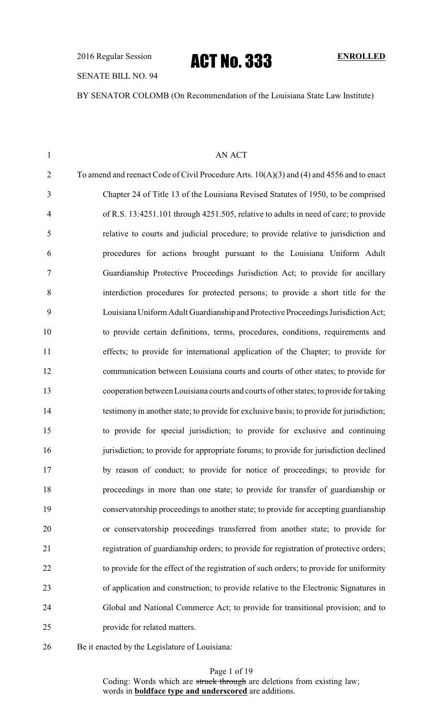## SENATE BILL NO. 94

BY SENATOR COLOMB (On Recommendation of the Louisiana State Law Institute)

| AN ACT                                                                                      |
|---------------------------------------------------------------------------------------------|
| To amend and reenact Code of Civil Procedure Arts. $10(A)(3)$ and (4) and 4556 and to enact |
| Chapter 24 of Title 13 of the Louisiana Revised Statutes of 1950, to be comprised           |
| of R.S. 13:4251.101 through 4251.505, relative to adults in need of care; to provide        |
| relative to courts and judicial procedure; to provide relative to jurisdiction and          |
| procedures for actions brought pursuant to the Louisiana Uniform Adult                      |
| Guardianship Protective Proceedings Jurisdiction Act; to provide for ancillary              |
| interdiction procedures for protected persons; to provide a short title for the             |
| Louisiana Uniform Adult Guardianship and Protective Proceedings Jurisdiction Act;           |
| to provide certain definitions, terms, procedures, conditions, requirements and             |
| effects; to provide for international application of the Chapter; to provide for            |
| communication between Louisiana courts and courts of other states; to provide for           |
| cooperation between Louisiana courts and courts of other states; to provide for taking      |
| testimony in another state; to provide for exclusive basis; to provide for jurisdiction;    |
| to provide for special jurisdiction; to provide for exclusive and continuing                |
| jurisdiction; to provide for appropriate forums; to provide for jurisdiction declined       |
| by reason of conduct; to provide for notice of proceedings; to provide for                  |
| proceedings in more than one state; to provide for transfer of guardianship or              |
| conservatorship proceedings to another state; to provide for accepting guardianship         |
| or conservatorship proceedings transferred from another state; to provide for               |
| registration of guardianship orders; to provide for registration of protective orders;      |
| to provide for the effect of the registration of such orders; to provide for uniformity     |
| of application and construction; to provide relative to the Electronic Signatures in        |
| Global and National Commerce Act; to provide for transitional provision; and to             |
| provide for related matters.                                                                |
|                                                                                             |

Be it enacted by the Legislature of Louisiana:

Page 1 of 19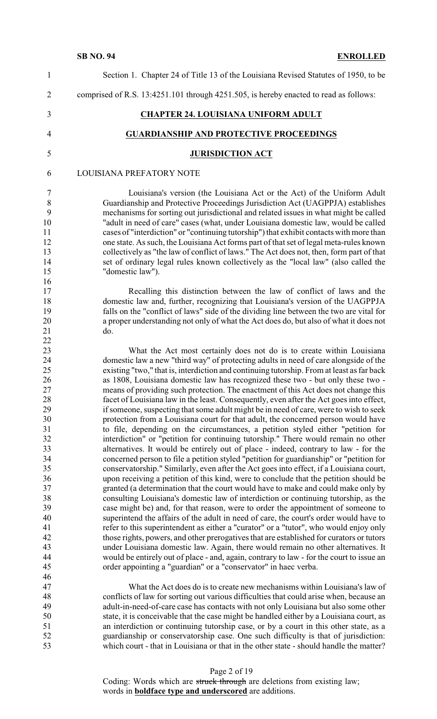| $\mathbf{1}$                                                                                                                     | Section 1. Chapter 24 of Title 13 of the Louisiana Revised Statutes of 1950, to be                                                                                                                                                                                                                                                                                                                                                                                                                                                                                                                                                                                                                                                                                                                                                                                                                                                                                                                                                                                                                                                                                                                                                                                                                                                                                                                                                                                                                                                                                                                                                                                                                                                                                                                                                                                                                                                                                                       |
|----------------------------------------------------------------------------------------------------------------------------------|------------------------------------------------------------------------------------------------------------------------------------------------------------------------------------------------------------------------------------------------------------------------------------------------------------------------------------------------------------------------------------------------------------------------------------------------------------------------------------------------------------------------------------------------------------------------------------------------------------------------------------------------------------------------------------------------------------------------------------------------------------------------------------------------------------------------------------------------------------------------------------------------------------------------------------------------------------------------------------------------------------------------------------------------------------------------------------------------------------------------------------------------------------------------------------------------------------------------------------------------------------------------------------------------------------------------------------------------------------------------------------------------------------------------------------------------------------------------------------------------------------------------------------------------------------------------------------------------------------------------------------------------------------------------------------------------------------------------------------------------------------------------------------------------------------------------------------------------------------------------------------------------------------------------------------------------------------------------------------------|
| $\overline{2}$                                                                                                                   | comprised of R.S. 13:4251.101 through 4251.505, is hereby enacted to read as follows:                                                                                                                                                                                                                                                                                                                                                                                                                                                                                                                                                                                                                                                                                                                                                                                                                                                                                                                                                                                                                                                                                                                                                                                                                                                                                                                                                                                                                                                                                                                                                                                                                                                                                                                                                                                                                                                                                                    |
| 3                                                                                                                                | <b>CHAPTER 24. LOUISIANA UNIFORM ADULT</b>                                                                                                                                                                                                                                                                                                                                                                                                                                                                                                                                                                                                                                                                                                                                                                                                                                                                                                                                                                                                                                                                                                                                                                                                                                                                                                                                                                                                                                                                                                                                                                                                                                                                                                                                                                                                                                                                                                                                               |
| $\overline{4}$                                                                                                                   | <b>GUARDIANSHIP AND PROTECTIVE PROCEEDINGS</b>                                                                                                                                                                                                                                                                                                                                                                                                                                                                                                                                                                                                                                                                                                                                                                                                                                                                                                                                                                                                                                                                                                                                                                                                                                                                                                                                                                                                                                                                                                                                                                                                                                                                                                                                                                                                                                                                                                                                           |
| 5                                                                                                                                | <b>JURISDICTION ACT</b>                                                                                                                                                                                                                                                                                                                                                                                                                                                                                                                                                                                                                                                                                                                                                                                                                                                                                                                                                                                                                                                                                                                                                                                                                                                                                                                                                                                                                                                                                                                                                                                                                                                                                                                                                                                                                                                                                                                                                                  |
| 6                                                                                                                                | LOUISIANA PREFATORY NOTE                                                                                                                                                                                                                                                                                                                                                                                                                                                                                                                                                                                                                                                                                                                                                                                                                                                                                                                                                                                                                                                                                                                                                                                                                                                                                                                                                                                                                                                                                                                                                                                                                                                                                                                                                                                                                                                                                                                                                                 |
| $\tau$<br>8<br>9<br>10<br>11<br>12<br>13<br>14<br>15<br>16<br>17                                                                 | Louisiana's version (the Louisiana Act or the Act) of the Uniform Adult<br>Guardianship and Protective Proceedings Jurisdiction Act (UAGPPJA) establishes<br>mechanisms for sorting out jurisdictional and related issues in what might be called<br>"adult in need of care" cases (what, under Louisiana domestic law, would be called<br>cases of "interdiction" or "continuing tutorship") that exhibit contacts with more than<br>one state. As such, the Louisiana Act forms part of that set of legal meta-rules known<br>collectively as "the law of conflict of laws." The Act does not, then, form part of that<br>set of ordinary legal rules known collectively as the "local law" (also called the<br>"domestic law").<br>Recalling this distinction between the law of conflict of laws and the                                                                                                                                                                                                                                                                                                                                                                                                                                                                                                                                                                                                                                                                                                                                                                                                                                                                                                                                                                                                                                                                                                                                                                             |
| 18<br>19<br>20<br>21<br>22                                                                                                       | domestic law and, further, recognizing that Louisiana's version of the UAGPPJA<br>falls on the "conflict of laws" side of the dividing line between the two are vital for<br>a proper understanding not only of what the Act does do, but also of what it does not<br>do.                                                                                                                                                                                                                                                                                                                                                                                                                                                                                                                                                                                                                                                                                                                                                                                                                                                                                                                                                                                                                                                                                                                                                                                                                                                                                                                                                                                                                                                                                                                                                                                                                                                                                                                |
| 23<br>24<br>25<br>26<br>27<br>28<br>29<br>30<br>31<br>32<br>33<br>34<br>35<br>36<br>37<br>38<br>39<br>40<br>41<br>42<br>43<br>44 | What the Act most certainly does not do is to create within Louisiana<br>domestic law a new "third way" of protecting adults in need of care alongside of the<br>existing "two," that is, interdiction and continuing tutorship. From at least as far back<br>as 1808, Louisiana domestic law has recognized these two - but only these two -<br>means of providing such protection. The enactment of this Act does not change this<br>facet of Louisiana law in the least. Consequently, even after the Act goes into effect,<br>if someone, suspecting that some adult might be in need of care, were to wish to seek<br>protection from a Louisiana court for that adult, the concerned person would have<br>to file, depending on the circumstances, a petition styled either "petition for<br>interdiction" or "petition for continuing tutorship." There would remain no other<br>alternatives. It would be entirely out of place - indeed, contrary to law - for the<br>concerned person to file a petition styled "petition for guardianship" or "petition for<br>conservatorship." Similarly, even after the Act goes into effect, if a Louisiana court,<br>upon receiving a petition of this kind, were to conclude that the petition should be<br>granted (a determination that the court would have to make and could make only by<br>consulting Louisiana's domestic law of interdiction or continuing tutorship, as the<br>case might be) and, for that reason, were to order the appointment of someone to<br>superintend the affairs of the adult in need of care, the court's order would have to<br>refer to this superintendent as either a "curator" or a "tutor", who would enjoy only<br>those rights, powers, and other prerogatives that are established for curators or tutors<br>under Louisiana domestic law. Again, there would remain no other alternatives. It<br>would be entirely out of place - and, again, contrary to law - for the court to issue an |
| 45<br>46<br>47<br>48<br>49<br>50<br>51<br>52<br>53                                                                               | order appointing a "guardian" or a "conservator" in haec verba.<br>What the Act does do is to create new mechanisms within Louisiana's law of<br>conflicts of law for sorting out various difficulties that could arise when, because an<br>adult-in-need-of-care case has contacts with not only Louisiana but also some other<br>state, it is conceivable that the case might be handled either by a Louisiana court, as<br>an interdiction or continuing tutorship case, or by a court in this other state, as a<br>guardianship or conservatorship case. One such difficulty is that of jurisdiction:<br>which court - that in Louisiana or that in the other state - should handle the matter?                                                                                                                                                                                                                                                                                                                                                                                                                                                                                                                                                                                                                                                                                                                                                                                                                                                                                                                                                                                                                                                                                                                                                                                                                                                                                      |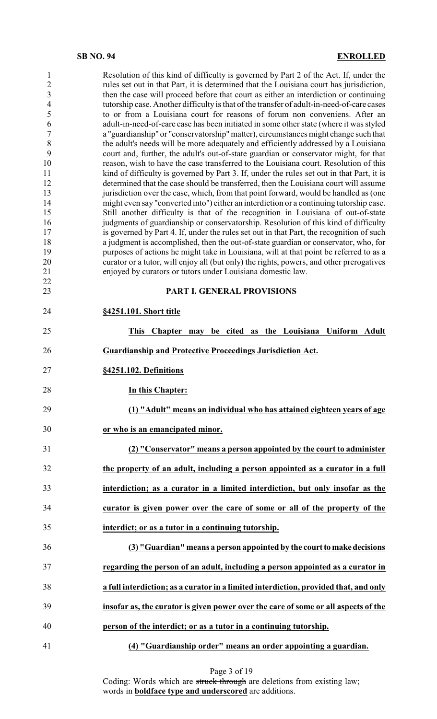| $\mathbf{1}$<br>$\overline{c}$<br>3<br>$\overline{4}$<br>5<br>6<br>$\overline{7}$<br>8<br>9<br>10<br>11<br>12<br>13<br>14<br>15<br>16<br>17<br>18<br>19<br>20<br>21<br>22<br>23 | Resolution of this kind of difficulty is governed by Part 2 of the Act. If, under the<br>rules set out in that Part, it is determined that the Louisiana court has jurisdiction,<br>then the case will proceed before that court as either an interdiction or continuing<br>tutorship case. Another difficulty is that of the transfer of adult-in-need-of-care cases<br>to or from a Louisiana court for reasons of forum non conveniens. After an<br>adult-in-need-of-care case has been initiated in some other state (where it was styled<br>a "guardianship" or "conservatorship" matter), circumstances might change such that<br>the adult's needs will be more adequately and efficiently addressed by a Louisiana<br>court and, further, the adult's out-of-state guardian or conservator might, for that<br>reason, wish to have the case transferred to the Louisiana court. Resolution of this<br>kind of difficulty is governed by Part 3. If, under the rules set out in that Part, it is<br>determined that the case should be transferred, then the Louisiana court will assume<br>jurisdiction over the case, which, from that point forward, would be handled as (one<br>might even say "converted into") either an interdiction or a continuing tutorship case.<br>Still another difficulty is that of the recognition in Louisiana of out-of-state<br>judgments of guardianship or conservatorship. Resolution of this kind of difficulty<br>is governed by Part 4. If, under the rules set out in that Part, the recognition of such<br>a judgment is accomplished, then the out-of-state guardian or conservator, who, for<br>purposes of actions he might take in Louisiana, will at that point be referred to as a<br>curator or a tutor, will enjoy all (but only) the rights, powers, and other prerogatives<br>enjoyed by curators or tutors under Louisiana domestic law.<br>PART I. GENERAL PROVISIONS |
|---------------------------------------------------------------------------------------------------------------------------------------------------------------------------------|-------------------------------------------------------------------------------------------------------------------------------------------------------------------------------------------------------------------------------------------------------------------------------------------------------------------------------------------------------------------------------------------------------------------------------------------------------------------------------------------------------------------------------------------------------------------------------------------------------------------------------------------------------------------------------------------------------------------------------------------------------------------------------------------------------------------------------------------------------------------------------------------------------------------------------------------------------------------------------------------------------------------------------------------------------------------------------------------------------------------------------------------------------------------------------------------------------------------------------------------------------------------------------------------------------------------------------------------------------------------------------------------------------------------------------------------------------------------------------------------------------------------------------------------------------------------------------------------------------------------------------------------------------------------------------------------------------------------------------------------------------------------------------------------------------------------------------------------------------------------------------------------------------------------------------------|
| 24                                                                                                                                                                              | §4251.101. Short title                                                                                                                                                                                                                                                                                                                                                                                                                                                                                                                                                                                                                                                                                                                                                                                                                                                                                                                                                                                                                                                                                                                                                                                                                                                                                                                                                                                                                                                                                                                                                                                                                                                                                                                                                                                                                                                                                                              |
|                                                                                                                                                                                 |                                                                                                                                                                                                                                                                                                                                                                                                                                                                                                                                                                                                                                                                                                                                                                                                                                                                                                                                                                                                                                                                                                                                                                                                                                                                                                                                                                                                                                                                                                                                                                                                                                                                                                                                                                                                                                                                                                                                     |
| 25                                                                                                                                                                              | Chapter may be cited as the Louisiana Uniform Adult<br><b>This</b>                                                                                                                                                                                                                                                                                                                                                                                                                                                                                                                                                                                                                                                                                                                                                                                                                                                                                                                                                                                                                                                                                                                                                                                                                                                                                                                                                                                                                                                                                                                                                                                                                                                                                                                                                                                                                                                                  |
| 26                                                                                                                                                                              | Guardianship and Protective Proceedings Jurisdiction Act.                                                                                                                                                                                                                                                                                                                                                                                                                                                                                                                                                                                                                                                                                                                                                                                                                                                                                                                                                                                                                                                                                                                                                                                                                                                                                                                                                                                                                                                                                                                                                                                                                                                                                                                                                                                                                                                                           |
| 27                                                                                                                                                                              | §4251.102. Definitions                                                                                                                                                                                                                                                                                                                                                                                                                                                                                                                                                                                                                                                                                                                                                                                                                                                                                                                                                                                                                                                                                                                                                                                                                                                                                                                                                                                                                                                                                                                                                                                                                                                                                                                                                                                                                                                                                                              |
| 28                                                                                                                                                                              | In this Chapter:                                                                                                                                                                                                                                                                                                                                                                                                                                                                                                                                                                                                                                                                                                                                                                                                                                                                                                                                                                                                                                                                                                                                                                                                                                                                                                                                                                                                                                                                                                                                                                                                                                                                                                                                                                                                                                                                                                                    |
| 29                                                                                                                                                                              | (1) "Adult" means an individual who has attained eighteen years of age                                                                                                                                                                                                                                                                                                                                                                                                                                                                                                                                                                                                                                                                                                                                                                                                                                                                                                                                                                                                                                                                                                                                                                                                                                                                                                                                                                                                                                                                                                                                                                                                                                                                                                                                                                                                                                                              |
| 30                                                                                                                                                                              | or who is an emancipated minor.                                                                                                                                                                                                                                                                                                                                                                                                                                                                                                                                                                                                                                                                                                                                                                                                                                                                                                                                                                                                                                                                                                                                                                                                                                                                                                                                                                                                                                                                                                                                                                                                                                                                                                                                                                                                                                                                                                     |
| 31                                                                                                                                                                              | (2) "Conservator" means a person appointed by the court to administer                                                                                                                                                                                                                                                                                                                                                                                                                                                                                                                                                                                                                                                                                                                                                                                                                                                                                                                                                                                                                                                                                                                                                                                                                                                                                                                                                                                                                                                                                                                                                                                                                                                                                                                                                                                                                                                               |
| 32                                                                                                                                                                              | the property of an adult, including a person appointed as a curator in a full                                                                                                                                                                                                                                                                                                                                                                                                                                                                                                                                                                                                                                                                                                                                                                                                                                                                                                                                                                                                                                                                                                                                                                                                                                                                                                                                                                                                                                                                                                                                                                                                                                                                                                                                                                                                                                                       |
| 33                                                                                                                                                                              | interdiction; as a curator in a limited interdiction, but only insofar as the                                                                                                                                                                                                                                                                                                                                                                                                                                                                                                                                                                                                                                                                                                                                                                                                                                                                                                                                                                                                                                                                                                                                                                                                                                                                                                                                                                                                                                                                                                                                                                                                                                                                                                                                                                                                                                                       |
| 34                                                                                                                                                                              | curator is given power over the care of some or all of the property of the                                                                                                                                                                                                                                                                                                                                                                                                                                                                                                                                                                                                                                                                                                                                                                                                                                                                                                                                                                                                                                                                                                                                                                                                                                                                                                                                                                                                                                                                                                                                                                                                                                                                                                                                                                                                                                                          |
| 35                                                                                                                                                                              | interdict; or as a tutor in a continuing tutorship.                                                                                                                                                                                                                                                                                                                                                                                                                                                                                                                                                                                                                                                                                                                                                                                                                                                                                                                                                                                                                                                                                                                                                                                                                                                                                                                                                                                                                                                                                                                                                                                                                                                                                                                                                                                                                                                                                 |
| 36                                                                                                                                                                              | (3) "Guardian" means a person appointed by the court to make decisions                                                                                                                                                                                                                                                                                                                                                                                                                                                                                                                                                                                                                                                                                                                                                                                                                                                                                                                                                                                                                                                                                                                                                                                                                                                                                                                                                                                                                                                                                                                                                                                                                                                                                                                                                                                                                                                              |
| 37                                                                                                                                                                              | regarding the person of an adult, including a person appointed as a curator in                                                                                                                                                                                                                                                                                                                                                                                                                                                                                                                                                                                                                                                                                                                                                                                                                                                                                                                                                                                                                                                                                                                                                                                                                                                                                                                                                                                                                                                                                                                                                                                                                                                                                                                                                                                                                                                      |
| 38                                                                                                                                                                              | a full interdiction; as a curator in a limited interdiction, provided that, and only                                                                                                                                                                                                                                                                                                                                                                                                                                                                                                                                                                                                                                                                                                                                                                                                                                                                                                                                                                                                                                                                                                                                                                                                                                                                                                                                                                                                                                                                                                                                                                                                                                                                                                                                                                                                                                                |
| 39                                                                                                                                                                              | insofar as, the curator is given power over the care of some or all aspects of the                                                                                                                                                                                                                                                                                                                                                                                                                                                                                                                                                                                                                                                                                                                                                                                                                                                                                                                                                                                                                                                                                                                                                                                                                                                                                                                                                                                                                                                                                                                                                                                                                                                                                                                                                                                                                                                  |
| 40                                                                                                                                                                              | person of the interdict; or as a tutor in a continuing tutorship.                                                                                                                                                                                                                                                                                                                                                                                                                                                                                                                                                                                                                                                                                                                                                                                                                                                                                                                                                                                                                                                                                                                                                                                                                                                                                                                                                                                                                                                                                                                                                                                                                                                                                                                                                                                                                                                                   |
| 41                                                                                                                                                                              | (4) "Guardianship order" means an order appointing a guardian.                                                                                                                                                                                                                                                                                                                                                                                                                                                                                                                                                                                                                                                                                                                                                                                                                                                                                                                                                                                                                                                                                                                                                                                                                                                                                                                                                                                                                                                                                                                                                                                                                                                                                                                                                                                                                                                                      |

Page 3 of 19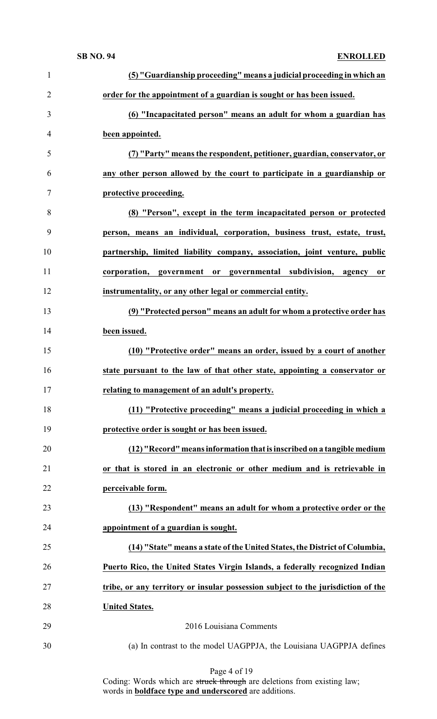| $\mathbf{1}$   | (5) "Guardianship proceeding" means a judicial proceeding in which an            |
|----------------|----------------------------------------------------------------------------------|
| $\overline{2}$ | order for the appointment of a guardian is sought or has been issued.            |
| 3              | (6) "Incapacitated person" means an adult for whom a guardian has                |
| 4              | been appointed.                                                                  |
| 5              | (7) "Party" means the respondent, petitioner, guardian, conservator, or          |
| 6              | any other person allowed by the court to participate in a guardianship or        |
| 7              | protective proceeding.                                                           |
| 8              | (8) "Person", except in the term incapacitated person or protected               |
| 9              | person, means an individual, corporation, business trust, estate, trust,         |
| 10             | partnership, limited liability company, association, joint venture, public       |
| 11             | corporation, government or governmental subdivision, agency<br><sub>or</sub>     |
| 12             | instrumentality, or any other legal or commercial entity.                        |
| 13             | (9) "Protected person" means an adult for whom a protective order has            |
| 14             | been issued.                                                                     |
| 15             | (10) "Protective order" means an order, issued by a court of another             |
| 16             | state pursuant to the law of that other state, appointing a conservator or       |
| 17             | relating to management of an adult's property.                                   |
| 18             | (11) "Protective proceeding" means a judicial proceeding in which a              |
| 19             | protective order is sought or has been issued.                                   |
| 20             | (12) "Record" means information that is inscribed on a tangible medium           |
| 21             | or that is stored in an electronic or other medium and is retrievable in         |
| 22             | perceivable form.                                                                |
| 23             | (13) "Respondent" means an adult for whom a protective order or the              |
| 24             | appointment of a guardian is sought.                                             |
| 25             | (14) "State" means a state of the United States, the District of Columbia,       |
| 26             | Puerto Rico, the United States Virgin Islands, a federally recognized Indian     |
| 27             | tribe, or any territory or insular possession subject to the jurisdiction of the |
| 28             | <b>United States.</b>                                                            |
| 29             | 2016 Louisiana Comments                                                          |
| 30             | (a) In contrast to the model UAGPPJA, the Louisiana UAGPPJA defines              |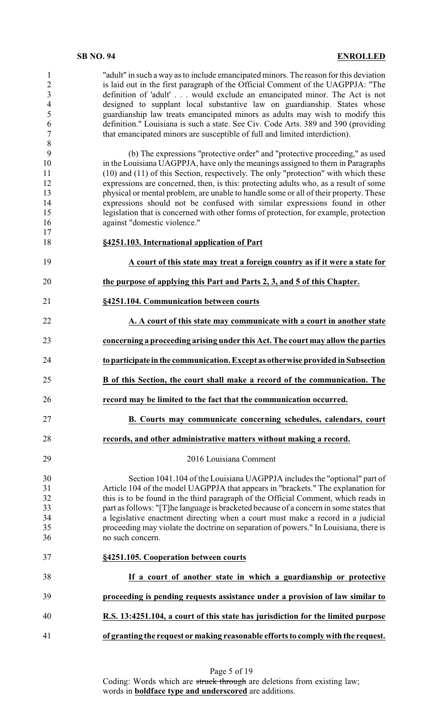"adult" in such a way as to include emancipated minors. The reason for this deviation is laid out in the first paragraph of the Official Comment of the UAGPPJA: "The definition of 'adult' . . . would exclude an emancipated minor. The Act is not designed to supplant local substantive law on guardianship. States whose guardianship law treats emancipated minors as adults may wish to modify this definition." Louisiana is such a state. See Civ. Code Arts. 389 and 390 (providing that emancipated minors are susceptible of full and limited interdiction).

 (b) The expressions "protective order" and "protective proceeding," as used in the Louisiana UAGPPJA, have only the meanings assigned to them in Paragraphs 11 (10) and (11) of this Section, respectively. The only "protection" with which these<br>12 expressions are concerned, then, is this: protecting adults who, as a result of some expressions are concerned, then, is this: protecting adults who, as a result of some 13 physical or mental problem, are unable to handle some or all of their property. These<br>14 expressions should not be confused with similar expressions found in other expressions should not be confused with similar expressions found in other legislation that is concerned with other forms of protection, for example, protection against "domestic violence."

- **§4251.103. International application of Part**
- **A court of this state may treat a foreign country as if it were a state for**
- **the purpose of applying this Part and Parts 2, 3, and 5 of this Chapter.**
- **§4251.104. Communication between courts**
- **A. A court of this state may communicate with a court in another state concerning a proceeding arising under this Act. The court may allow the parties**
- **to participate in the communication. Except as otherwise provided in Subsection**
- **B of this Section, the court shall make a record of the communication. The**
- **record may be limited to the fact that the communication occurred.**
- **B. Courts may communicate concerning schedules, calendars, court**
- **records, and other administrative matters without making a record.**

## 2016 Louisiana Comment

 Section 1041.104 of the Louisiana UAGPPJA includes the "optional" part of Article 104 of the model UAGPPJA that appears in "brackets." The explanation for this is to be found in the third paragraph of the Official Comment, which reads in part as follows: "[T]he language is bracketed because of a concern in some states that a legislative enactment directing when a court must make a record in a judicial proceeding may violate the doctrine on separation of powers." In Louisiana, there is no such concern.

- **§4251.105. Cooperation between courts If a court of another state in which a guardianship or protective proceeding is pending requests assistance under a provision of law similar to**
- **R.S. 13:4251.104, a court of this state has jurisdiction for the limited purpose**
- **of granting the request or making reasonable efforts to comply with the request.**

| Page 5 of 19 |  |
|--------------|--|
|--------------|--|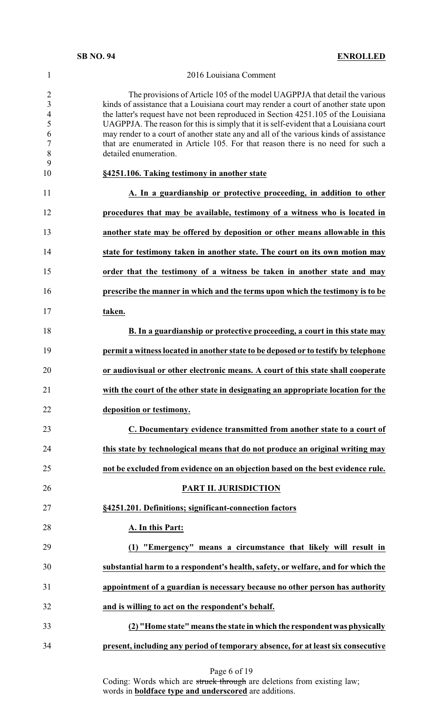## 2016 Louisiana Comment

 The provisions of Article 105 of the model UAGPPJA that detail the various kinds of assistance that a Louisiana court may render a court of another state upon the latter's request have not been reproduced in Section 4251.105 of the Louisiana UAGPPJA. The reason for this is simply that it is self-evident that a Louisiana court may render to a court of another state any and all of the various kinds of assistance that are enumerated in Article 105. For that reason there is no need for such a detailed enumeration. **§4251.106. Taking testimony in another state A. In a guardianship or protective proceeding, in addition to other procedures that may be available, testimony of a witness who is located in another state may be offered by deposition or other means allowable in this state for testimony taken in another state. The court on its own motion may order that the testimony of a witness be taken in another state and may prescribe the manner in which and the terms upon which the testimony is to be taken. B. In a guardianship or protective proceeding, a court in this state may permit a witness located in another state to be deposed or to testify by telephone or audiovisual or other electronic means. A court of this state shall cooperate with the court of the other state in designating an appropriate location for the**

**deposition or testimony.**

 **C. Documentary evidence transmitted from another state to a court of this state by technological means that do not produce an original writing may not be excluded from evidence on an objection based on the best evidence rule.**

# **PART II. JURISDICTION**

**§4251.201. Definitions; significant-connection factors**

## **A. In this Part:**

 **(1) "Emergency" means a circumstance that likely will result in substantial harm to a respondent's health, safety, or welfare, and for which the appointment of a guardian is necessary because no other person has authority and is willing to act on the respondent's behalf.**

 **(2) "Home state" means the state in which the respondent was physically present, including any period of temporary absence, for at least six consecutive**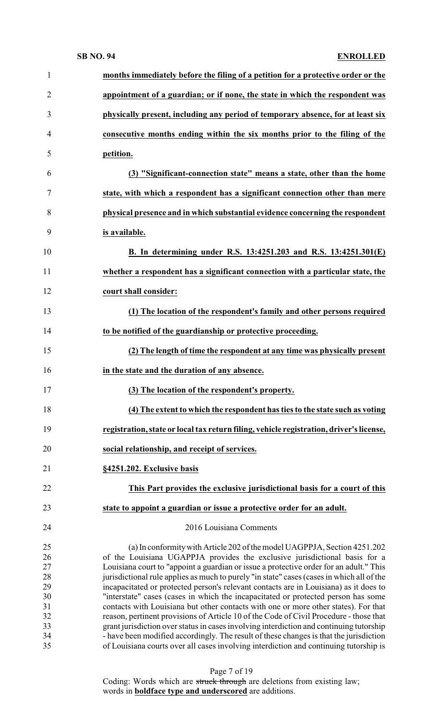| $\mathbf{1}$   | months immediately before the filing of a petition for a protective order or the          |
|----------------|-------------------------------------------------------------------------------------------|
| $\overline{2}$ | appointment of a guardian; or if none, the state in which the respondent was              |
| 3              | physically present, including any period of temporary absence, for at least six           |
| $\overline{4}$ | consecutive months ending within the six months prior to the filing of the                |
| 5              | petition.                                                                                 |
| 6              | (3) "Significant-connection state" means a state, other than the home                     |
| 7              | state, with which a respondent has a significant connection other than mere               |
| 8              | physical presence and in which substantial evidence concerning the respondent             |
| 9              | is available.                                                                             |
| 10             | B. In determining under R.S. 13:4251.203 and R.S. 13:4251.301(E)                          |
| 11             | whether a respondent has a significant connection with a particular state, the            |
| 12             | court shall consider:                                                                     |
| 13             | (1) The location of the respondent's family and other persons required                    |
| 14             | to be notified of the guardianship or protective proceeding.                              |
| 15             | (2) The length of time the respondent at any time was physically present                  |
| 16             | in the state and the duration of any absence.                                             |
| 17             | (3) The location of the respondent's property.                                            |
| 18             | (4) The extent to which the respondent has ties to the state such as voting               |
| 19             | registration, state or local tax return filing, vehicle registration, driver's license,   |
| 20             | social relationship, and receipt of services.                                             |
| 21             | §4251.202. Exclusive basis                                                                |
| 22             | This Part provides the exclusive jurisdictional basis for a court of this                 |
| 23             | state to appoint a guardian or issue a protective order for an adult.                     |
| 24             | 2016 Louisiana Comments                                                                   |
| 25             | (a) In conformity with Article 202 of the model UAGPPJA, Section 4251.202                 |
| 26             | of the Louisiana UGAPPJA provides the exclusive jurisdictional basis for a                |
| 27             | Louisiana court to "appoint a guardian or issue a protective order for an adult." This    |
| 28             | jurisdictional rule applies as much to purely "in state" cases (cases in which all of the |
| 29             | incapacitated or protected person's relevant contacts are in Louisiana) as it does to     |
| 30             | "interstate" cases (cases in which the incapacitated or protected person has some         |
| 31             | contacts with Louisiana but other contacts with one or more other states). For that       |
| 32             | reason, pertinent provisions of Article 10 of the Code of Civil Procedure - those that    |
| 33             | grant jurisdiction over status in cases involving interdiction and continuing tutorship   |
| 34             | - have been modified accordingly. The result of these changes is that the jurisdiction    |
| 35             | of Louisiana courts over all cases involving interdiction and continuing tutorship is     |

Page 7 of 19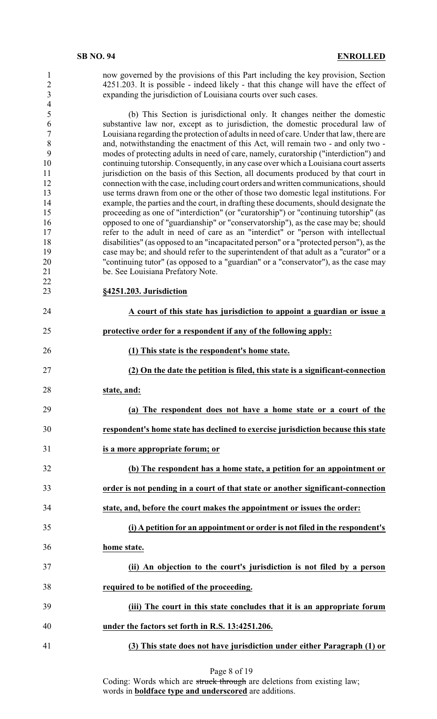| 1<br>$\overline{2}$<br>$\overline{\mathbf{3}}$<br>$\overline{\mathcal{L}}$                                       | now governed by the provisions of this Part including the key provision, Section<br>4251.203. It is possible - indeed likely - that this change will have the effect of<br>expanding the jurisdiction of Louisiana courts over such cases.                                                                                                                                                                                                                                                                                                                                                                                                                                                                                                                                                                                                                                                                                                                                                                                                                                                                                                                                                                                                                                                                                                                                                                                                                                |
|------------------------------------------------------------------------------------------------------------------|---------------------------------------------------------------------------------------------------------------------------------------------------------------------------------------------------------------------------------------------------------------------------------------------------------------------------------------------------------------------------------------------------------------------------------------------------------------------------------------------------------------------------------------------------------------------------------------------------------------------------------------------------------------------------------------------------------------------------------------------------------------------------------------------------------------------------------------------------------------------------------------------------------------------------------------------------------------------------------------------------------------------------------------------------------------------------------------------------------------------------------------------------------------------------------------------------------------------------------------------------------------------------------------------------------------------------------------------------------------------------------------------------------------------------------------------------------------------------|
| 5<br>6<br>$\overline{7}$<br>8<br>9<br>10<br>11<br>12<br>13<br>14<br>15<br>16<br>17<br>18<br>19<br>20<br>21<br>22 | (b) This Section is jurisdictional only. It changes neither the domestic<br>substantive law nor, except as to jurisdiction, the domestic procedural law of<br>Louisiana regarding the protection of adults in need of care. Under that law, there are<br>and, notwithstanding the enactment of this Act, will remain two - and only two -<br>modes of protecting adults in need of care, namely, curatorship ("interdiction") and<br>continuing tutorship. Consequently, in any case over which a Louisiana court asserts<br>jurisdiction on the basis of this Section, all documents produced by that court in<br>connection with the case, including court orders and written communications, should<br>use terms drawn from one or the other of those two domestic legal institutions. For<br>example, the parties and the court, in drafting these documents, should designate the<br>proceeding as one of "interdiction" (or "curatorship") or "continuing tutorship" (as<br>opposed to one of "guardianship" or "conservatorship"), as the case may be; should<br>refer to the adult in need of care as an "interdict" or "person with intellectual<br>disabilities" (as opposed to an "incapacitated person" or a "protected person"), as the<br>case may be; and should refer to the superintendent of that adult as a "curator" or a<br>"continuing tutor" (as opposed to a "guardian" or a "conservator"), as the case may<br>be. See Louisiana Prefatory Note. |
| 23                                                                                                               | §4251.203. Jurisdiction                                                                                                                                                                                                                                                                                                                                                                                                                                                                                                                                                                                                                                                                                                                                                                                                                                                                                                                                                                                                                                                                                                                                                                                                                                                                                                                                                                                                                                                   |
| 24                                                                                                               | A court of this state has jurisdiction to appoint a guardian or issue a                                                                                                                                                                                                                                                                                                                                                                                                                                                                                                                                                                                                                                                                                                                                                                                                                                                                                                                                                                                                                                                                                                                                                                                                                                                                                                                                                                                                   |
| 25                                                                                                               | protective order for a respondent if any of the following apply:                                                                                                                                                                                                                                                                                                                                                                                                                                                                                                                                                                                                                                                                                                                                                                                                                                                                                                                                                                                                                                                                                                                                                                                                                                                                                                                                                                                                          |
| 26                                                                                                               | (1) This state is the respondent's home state.                                                                                                                                                                                                                                                                                                                                                                                                                                                                                                                                                                                                                                                                                                                                                                                                                                                                                                                                                                                                                                                                                                                                                                                                                                                                                                                                                                                                                            |
|                                                                                                                  |                                                                                                                                                                                                                                                                                                                                                                                                                                                                                                                                                                                                                                                                                                                                                                                                                                                                                                                                                                                                                                                                                                                                                                                                                                                                                                                                                                                                                                                                           |
| 27                                                                                                               | (2) On the date the petition is filed, this state is a significant-connection                                                                                                                                                                                                                                                                                                                                                                                                                                                                                                                                                                                                                                                                                                                                                                                                                                                                                                                                                                                                                                                                                                                                                                                                                                                                                                                                                                                             |
| 28                                                                                                               | state, and:                                                                                                                                                                                                                                                                                                                                                                                                                                                                                                                                                                                                                                                                                                                                                                                                                                                                                                                                                                                                                                                                                                                                                                                                                                                                                                                                                                                                                                                               |
| 29                                                                                                               | (a) The respondent does not have a home state or a court of the                                                                                                                                                                                                                                                                                                                                                                                                                                                                                                                                                                                                                                                                                                                                                                                                                                                                                                                                                                                                                                                                                                                                                                                                                                                                                                                                                                                                           |
| 30                                                                                                               | respondent's home state has declined to exercise jurisdiction because this state                                                                                                                                                                                                                                                                                                                                                                                                                                                                                                                                                                                                                                                                                                                                                                                                                                                                                                                                                                                                                                                                                                                                                                                                                                                                                                                                                                                          |
| 31                                                                                                               | is a more appropriate forum; or                                                                                                                                                                                                                                                                                                                                                                                                                                                                                                                                                                                                                                                                                                                                                                                                                                                                                                                                                                                                                                                                                                                                                                                                                                                                                                                                                                                                                                           |
| 32                                                                                                               | (b) The respondent has a home state, a petition for an appointment or                                                                                                                                                                                                                                                                                                                                                                                                                                                                                                                                                                                                                                                                                                                                                                                                                                                                                                                                                                                                                                                                                                                                                                                                                                                                                                                                                                                                     |
| 33                                                                                                               | order is not pending in a court of that state or another significant-connection                                                                                                                                                                                                                                                                                                                                                                                                                                                                                                                                                                                                                                                                                                                                                                                                                                                                                                                                                                                                                                                                                                                                                                                                                                                                                                                                                                                           |
| 34                                                                                                               | state, and, before the court makes the appointment or issues the order:                                                                                                                                                                                                                                                                                                                                                                                                                                                                                                                                                                                                                                                                                                                                                                                                                                                                                                                                                                                                                                                                                                                                                                                                                                                                                                                                                                                                   |
| 35                                                                                                               | (i) A petition for an appointment or order is not filed in the respondent's                                                                                                                                                                                                                                                                                                                                                                                                                                                                                                                                                                                                                                                                                                                                                                                                                                                                                                                                                                                                                                                                                                                                                                                                                                                                                                                                                                                               |
| 36                                                                                                               | home state.                                                                                                                                                                                                                                                                                                                                                                                                                                                                                                                                                                                                                                                                                                                                                                                                                                                                                                                                                                                                                                                                                                                                                                                                                                                                                                                                                                                                                                                               |
| 37                                                                                                               | (ii) An objection to the court's jurisdiction is not filed by a person                                                                                                                                                                                                                                                                                                                                                                                                                                                                                                                                                                                                                                                                                                                                                                                                                                                                                                                                                                                                                                                                                                                                                                                                                                                                                                                                                                                                    |
| 38                                                                                                               | required to be notified of the proceeding.                                                                                                                                                                                                                                                                                                                                                                                                                                                                                                                                                                                                                                                                                                                                                                                                                                                                                                                                                                                                                                                                                                                                                                                                                                                                                                                                                                                                                                |
| 39                                                                                                               | (iii) The court in this state concludes that it is an appropriate forum                                                                                                                                                                                                                                                                                                                                                                                                                                                                                                                                                                                                                                                                                                                                                                                                                                                                                                                                                                                                                                                                                                                                                                                                                                                                                                                                                                                                   |
| 40                                                                                                               | under the factors set forth in R.S. 13:4251.206.                                                                                                                                                                                                                                                                                                                                                                                                                                                                                                                                                                                                                                                                                                                                                                                                                                                                                                                                                                                                                                                                                                                                                                                                                                                                                                                                                                                                                          |

## Page 8 of 19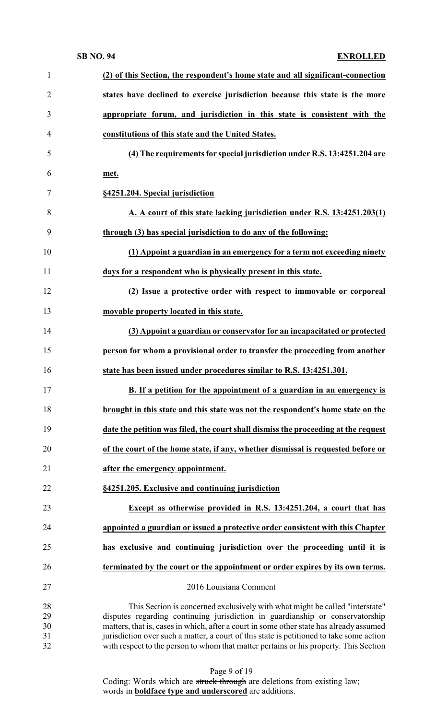| $\mathbf{1}$   | (2) of this Section, the respondent's home state and all significant-connection                                                                               |
|----------------|---------------------------------------------------------------------------------------------------------------------------------------------------------------|
| $\overline{2}$ | states have declined to exercise jurisdiction because this state is the more                                                                                  |
| 3              | appropriate forum, and jurisdiction in this state is consistent with the                                                                                      |
| $\overline{4}$ | constitutions of this state and the United States.                                                                                                            |
| 5              | (4) The requirements for special jurisdiction under R.S. 13:4251.204 are                                                                                      |
| 6              | met.                                                                                                                                                          |
| 7              | §4251.204. Special jurisdiction                                                                                                                               |
| 8              | A. A court of this state lacking jurisdiction under R.S. 13:4251.203(1)                                                                                       |
| 9              | through (3) has special jurisdiction to do any of the following:                                                                                              |
| 10             | (1) Appoint a guardian in an emergency for a term not exceeding ninety                                                                                        |
| 11             | days for a respondent who is physically present in this state.                                                                                                |
| 12             | (2) Issue a protective order with respect to immovable or corporeal                                                                                           |
| 13             | movable property located in this state.                                                                                                                       |
| 14             | (3) Appoint a guardian or conservator for an incapacitated or protected                                                                                       |
| 15             | person for whom a provisional order to transfer the proceeding from another                                                                                   |
| 16             | state has been issued under procedures similar to R.S. 13:4251.301.                                                                                           |
| 17             | B. If a petition for the appointment of a guardian in an emergency is                                                                                         |
| 18             | brought in this state and this state was not the respondent's home state on the                                                                               |
| 19             | date the petition was filed, the court shall dismiss the proceeding at the request                                                                            |
| 20             | of the court of the home state, if any, whether dismissal is requested before or                                                                              |
| 21             | after the emergency appointment.                                                                                                                              |
| 22             | §4251.205. Exclusive and continuing jurisdiction                                                                                                              |
| 23             | Except as otherwise provided in R.S. 13:4251.204, a court that has                                                                                            |
| 24             | appointed a guardian or issued a protective order consistent with this Chapter                                                                                |
| 25             | has exclusive and continuing jurisdiction over the proceeding until it is                                                                                     |
| 26             | terminated by the court or the appointment or order expires by its own terms.                                                                                 |
| 27             | 2016 Louisiana Comment                                                                                                                                        |
| 28<br>29       | This Section is concerned exclusively with what might be called "interstate"<br>disputes regarding continuing jurisdiction in guardianship or conservatorship |
| 30             | matters, that is, cases in which, after a court in some other state has already assumed                                                                       |
| 31             | jurisdiction over such a matter, a court of this state is petitioned to take some action                                                                      |
| 32             | with respect to the person to whom that matter pertains or his property. This Section                                                                         |

| Page 9 of 19 |  |  |  |
|--------------|--|--|--|
|--------------|--|--|--|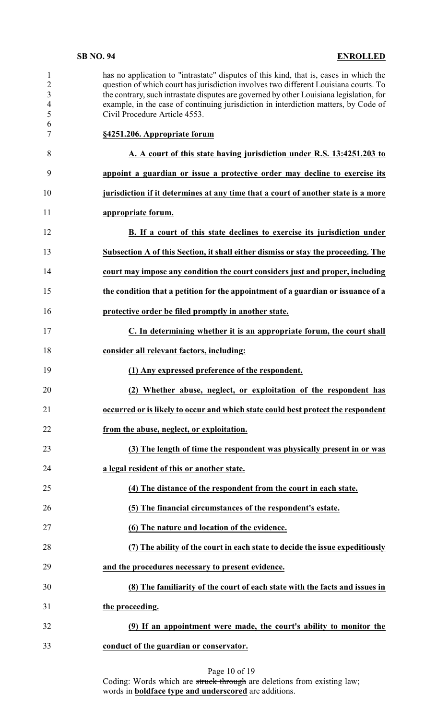| 1<br>$\overline{2}$<br>3<br>$\overline{\mathcal{A}}$<br>5<br>6<br>7 | has no application to "intrastate" disputes of this kind, that is, cases in which the<br>question of which court has jurisdiction involves two different Louisiana courts. To<br>the contrary, such intrastate disputes are governed by other Louisiana legislation, for<br>example, in the case of continuing jurisdiction in interdiction matters, by Code of<br>Civil Procedure Article 4553.<br>§4251.206. Appropriate forum |
|---------------------------------------------------------------------|----------------------------------------------------------------------------------------------------------------------------------------------------------------------------------------------------------------------------------------------------------------------------------------------------------------------------------------------------------------------------------------------------------------------------------|
| 8                                                                   | A. A court of this state having jurisdiction under R.S. 13:4251.203 to                                                                                                                                                                                                                                                                                                                                                           |
| 9                                                                   | appoint a guardian or issue a protective order may decline to exercise its                                                                                                                                                                                                                                                                                                                                                       |
| 10                                                                  | jurisdiction if it determines at any time that a court of another state is a more                                                                                                                                                                                                                                                                                                                                                |
| 11                                                                  | appropriate forum.                                                                                                                                                                                                                                                                                                                                                                                                               |
| 12                                                                  | B. If a court of this state declines to exercise its jurisdiction under                                                                                                                                                                                                                                                                                                                                                          |
| 13                                                                  | Subsection A of this Section, it shall either dismiss or stay the proceeding. The                                                                                                                                                                                                                                                                                                                                                |
| 14                                                                  | court may impose any condition the court considers just and proper, including                                                                                                                                                                                                                                                                                                                                                    |
| 15                                                                  | the condition that a petition for the appointment of a guardian or issuance of a                                                                                                                                                                                                                                                                                                                                                 |
| 16                                                                  | protective order be filed promptly in another state.                                                                                                                                                                                                                                                                                                                                                                             |
| 17                                                                  | C. In determining whether it is an appropriate forum, the court shall                                                                                                                                                                                                                                                                                                                                                            |
| 18                                                                  | consider all relevant factors, including:                                                                                                                                                                                                                                                                                                                                                                                        |
|                                                                     |                                                                                                                                                                                                                                                                                                                                                                                                                                  |
| 19                                                                  | (1) Any expressed preference of the respondent.                                                                                                                                                                                                                                                                                                                                                                                  |
| 20                                                                  | (2) Whether abuse, neglect, or exploitation of the respondent has                                                                                                                                                                                                                                                                                                                                                                |
| 21                                                                  | occurred or is likely to occur and which state could best protect the respondent                                                                                                                                                                                                                                                                                                                                                 |
| 22                                                                  | from the abuse, neglect, or exploitation.                                                                                                                                                                                                                                                                                                                                                                                        |
| 23                                                                  | (3) The length of time the respondent was physically present in or was                                                                                                                                                                                                                                                                                                                                                           |
| 24                                                                  | a legal resident of this or another state.                                                                                                                                                                                                                                                                                                                                                                                       |
| 25                                                                  | (4) The distance of the respondent from the court in each state.                                                                                                                                                                                                                                                                                                                                                                 |
| 26                                                                  | (5) The financial circumstances of the respondent's estate.                                                                                                                                                                                                                                                                                                                                                                      |
| 27                                                                  | (6) The nature and location of the evidence.                                                                                                                                                                                                                                                                                                                                                                                     |
| 28                                                                  | (7) The ability of the court in each state to decide the issue expeditiously                                                                                                                                                                                                                                                                                                                                                     |
| 29                                                                  | and the procedures necessary to present evidence.                                                                                                                                                                                                                                                                                                                                                                                |
| 30                                                                  | (8) The familiarity of the court of each state with the facts and issues in                                                                                                                                                                                                                                                                                                                                                      |
| 31                                                                  | the proceeding.                                                                                                                                                                                                                                                                                                                                                                                                                  |
| 32                                                                  | (9) If an appointment were made, the court's ability to monitor the                                                                                                                                                                                                                                                                                                                                                              |

## Page 10 of 19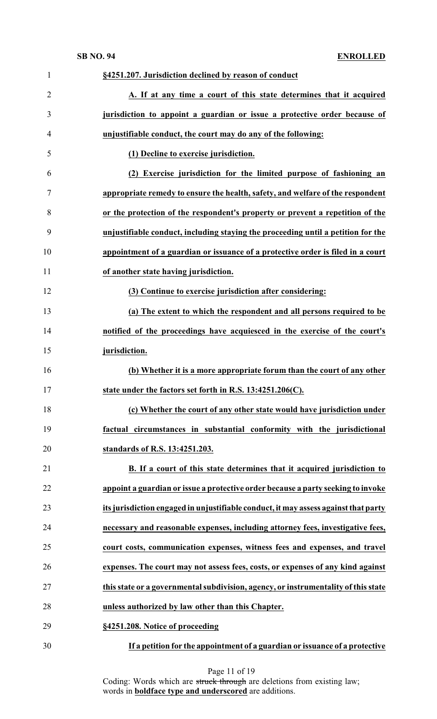| $\mathbf{1}$   | §4251.207. Jurisdiction declined by reason of conduct                               |
|----------------|-------------------------------------------------------------------------------------|
| $\overline{2}$ | A. If at any time a court of this state determines that it acquired                 |
| 3              | jurisdiction to appoint a guardian or issue a protective order because of           |
| 4              | unjustifiable conduct, the court may do any of the following:                       |
| 5              | (1) Decline to exercise jurisdiction.                                               |
| 6              | (2) Exercise jurisdiction for the limited purpose of fashioning an                  |
| 7              | appropriate remedy to ensure the health, safety, and welfare of the respondent      |
| 8              | or the protection of the respondent's property or prevent a repetition of the       |
| 9              | unjustifiable conduct, including staying the proceeding until a petition for the    |
| 10             | appointment of a guardian or issuance of a protective order is filed in a court     |
| 11             | of another state having jurisdiction.                                               |
| 12             | (3) Continue to exercise jurisdiction after considering:                            |
| 13             | (a) The extent to which the respondent and all persons required to be               |
| 14             | notified of the proceedings have acquiesced in the exercise of the court's          |
| 15             | jurisdiction.                                                                       |
| 16             | (b) Whether it is a more appropriate forum than the court of any other              |
| 17             | state under the factors set forth in R.S. 13:4251.206(C).                           |
| 18             | (c) Whether the court of any other state would have jurisdiction under              |
| 19             | factual circumstances in substantial conformity with the jurisdictional             |
| 20             | standards of R.S. 13:4251.203.                                                      |
| 21             | B. If a court of this state determines that it acquired jurisdiction to             |
| 22             | appoint a guardian or issue a protective order because a party seeking to invoke    |
| 23             | its jurisdiction engaged in unjustifiable conduct, it may assess against that party |
| 24             | necessary and reasonable expenses, including attorney fees, investigative fees,     |
| 25             | court costs, communication expenses, witness fees and expenses, and travel          |
| 26             | expenses. The court may not assess fees, costs, or expenses of any kind against     |
| 27             | this state or a governmental subdivision, agency, or instrumentality of this state  |
| 28             | unless authorized by law other than this Chapter.                                   |
| 29             | §4251.208. Notice of proceeding                                                     |
| 30             | If a petition for the appointment of a guardian or issuance of a protective         |

Page 11 of 19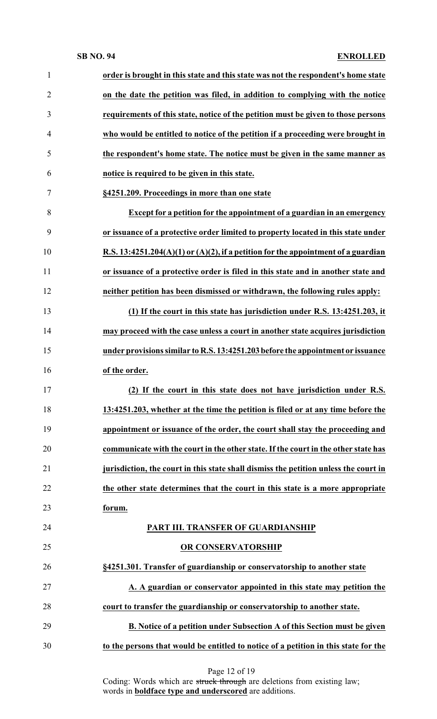| $\mathbf{1}$   | order is brought in this state and this state was not the respondent's home state      |
|----------------|----------------------------------------------------------------------------------------|
| $\overline{2}$ | on the date the petition was filed, in addition to complying with the notice           |
| 3              | requirements of this state, notice of the petition must be given to those persons      |
| $\overline{4}$ | who would be entitled to notice of the petition if a proceeding were brought in        |
| 5              | the respondent's home state. The notice must be given in the same manner as            |
| 6              | notice is required to be given in this state.                                          |
| $\tau$         | §4251.209. Proceedings in more than one state                                          |
| 8              | Except for a petition for the appointment of a guardian in an emergency                |
| 9              | or issuance of a protective order limited to property located in this state under      |
| 10             | R.S. $13:4251.204(A)(1)$ or $(A)(2)$ , if a petition for the appointment of a guardian |
| 11             | or issuance of a protective order is filed in this state and in another state and      |
| 12             | neither petition has been dismissed or withdrawn, the following rules apply:           |
| 13             | (1) If the court in this state has jurisdiction under R.S. 13:4251.203, it             |
| 14             | may proceed with the case unless a court in another state acquires jurisdiction        |
| 15             | under provisions similar to R.S. 13:4251.203 before the appointment or issuance        |
| 16             | of the order.                                                                          |
| 17             | (2) If the court in this state does not have jurisdiction under R.S.                   |
| 18             | 13:4251.203, whether at the time the petition is filed or at any time before the       |
| 19             | appointment or issuance of the order, the court shall stay the proceeding and          |
| 20             | communicate with the court in the other state. If the court in the other state has     |
| 21             | jurisdiction, the court in this state shall dismiss the petition unless the court in   |
| 22             | the other state determines that the court in this state is a more appropriate          |
| 23             | forum.                                                                                 |
| 24             | PART III. TRANSFER OF GUARDIANSHIP                                                     |
| 25             | OR CONSERVATORSHIP                                                                     |
| 26             | §4251.301. Transfer of guardianship or conservatorship to another state                |
| 27             | A. A guardian or conservator appointed in this state may petition the                  |
| 28             | court to transfer the guardianship or conservatorship to another state.                |
| 29             | B. Notice of a petition under Subsection A of this Section must be given               |
| 30             | to the persons that would be entitled to notice of a petition in this state for the    |
|                |                                                                                        |

| Page 12 of 19 |  |  |  |
|---------------|--|--|--|
|---------------|--|--|--|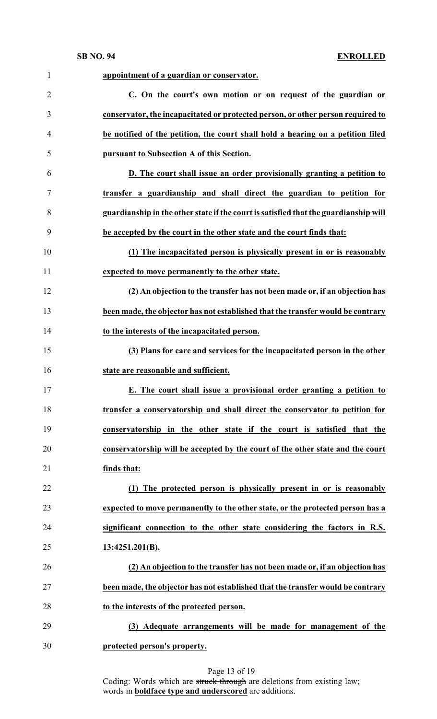| appointment of a guardian or conservator.<br>C. On the court's own motion or on request of the guardian or<br>conservator, the incapacitated or protected person, or other person required to<br>be notified of the petition, the court shall hold a hearing on a petition filed<br>pursuant to Subsection A of this Section.<br>D. The court shall issue an order provisionally granting a petition to<br>transfer a guardianship and shall direct the guardian to petition for<br>guardianship in the other state if the court is satisfied that the guardianship will<br>be accepted by the court in the other state and the court finds that:<br>(1) The incapacitated person is physically present in or is reasonably |
|-----------------------------------------------------------------------------------------------------------------------------------------------------------------------------------------------------------------------------------------------------------------------------------------------------------------------------------------------------------------------------------------------------------------------------------------------------------------------------------------------------------------------------------------------------------------------------------------------------------------------------------------------------------------------------------------------------------------------------|
|                                                                                                                                                                                                                                                                                                                                                                                                                                                                                                                                                                                                                                                                                                                             |
|                                                                                                                                                                                                                                                                                                                                                                                                                                                                                                                                                                                                                                                                                                                             |
|                                                                                                                                                                                                                                                                                                                                                                                                                                                                                                                                                                                                                                                                                                                             |
|                                                                                                                                                                                                                                                                                                                                                                                                                                                                                                                                                                                                                                                                                                                             |
|                                                                                                                                                                                                                                                                                                                                                                                                                                                                                                                                                                                                                                                                                                                             |
|                                                                                                                                                                                                                                                                                                                                                                                                                                                                                                                                                                                                                                                                                                                             |
|                                                                                                                                                                                                                                                                                                                                                                                                                                                                                                                                                                                                                                                                                                                             |
|                                                                                                                                                                                                                                                                                                                                                                                                                                                                                                                                                                                                                                                                                                                             |
|                                                                                                                                                                                                                                                                                                                                                                                                                                                                                                                                                                                                                                                                                                                             |
|                                                                                                                                                                                                                                                                                                                                                                                                                                                                                                                                                                                                                                                                                                                             |
| expected to move permanently to the other state.                                                                                                                                                                                                                                                                                                                                                                                                                                                                                                                                                                                                                                                                            |
| (2) An objection to the transfer has not been made or, if an objection has                                                                                                                                                                                                                                                                                                                                                                                                                                                                                                                                                                                                                                                  |
| been made, the objector has not established that the transfer would be contrary                                                                                                                                                                                                                                                                                                                                                                                                                                                                                                                                                                                                                                             |
| to the interests of the incapacitated person.                                                                                                                                                                                                                                                                                                                                                                                                                                                                                                                                                                                                                                                                               |
| (3) Plans for care and services for the incapacitated person in the other                                                                                                                                                                                                                                                                                                                                                                                                                                                                                                                                                                                                                                                   |
| state are reasonable and sufficient.                                                                                                                                                                                                                                                                                                                                                                                                                                                                                                                                                                                                                                                                                        |
| E. The court shall issue a provisional order granting a petition to                                                                                                                                                                                                                                                                                                                                                                                                                                                                                                                                                                                                                                                         |
| transfer a conservatorship and shall direct the conservator to petition for                                                                                                                                                                                                                                                                                                                                                                                                                                                                                                                                                                                                                                                 |
| conservatorship in the other state if the court is satisfied that the                                                                                                                                                                                                                                                                                                                                                                                                                                                                                                                                                                                                                                                       |
| conservatorship will be accepted by the court of the other state and the court                                                                                                                                                                                                                                                                                                                                                                                                                                                                                                                                                                                                                                              |
| finds that:                                                                                                                                                                                                                                                                                                                                                                                                                                                                                                                                                                                                                                                                                                                 |
| (1) The protected person is physically present in or is reasonably                                                                                                                                                                                                                                                                                                                                                                                                                                                                                                                                                                                                                                                          |
| expected to move permanently to the other state, or the protected person has a                                                                                                                                                                                                                                                                                                                                                                                                                                                                                                                                                                                                                                              |
| significant connection to the other state considering the factors in R.S.                                                                                                                                                                                                                                                                                                                                                                                                                                                                                                                                                                                                                                                   |
| 13:4251.201(B).                                                                                                                                                                                                                                                                                                                                                                                                                                                                                                                                                                                                                                                                                                             |
| (2) An objection to the transfer has not been made or, if an objection has                                                                                                                                                                                                                                                                                                                                                                                                                                                                                                                                                                                                                                                  |
|                                                                                                                                                                                                                                                                                                                                                                                                                                                                                                                                                                                                                                                                                                                             |
| been made, the objector has not established that the transfer would be contrary                                                                                                                                                                                                                                                                                                                                                                                                                                                                                                                                                                                                                                             |
| to the interests of the protected person.                                                                                                                                                                                                                                                                                                                                                                                                                                                                                                                                                                                                                                                                                   |
| (3) Adequate arrangements will be made for management of the                                                                                                                                                                                                                                                                                                                                                                                                                                                                                                                                                                                                                                                                |
|                                                                                                                                                                                                                                                                                                                                                                                                                                                                                                                                                                                                                                                                                                                             |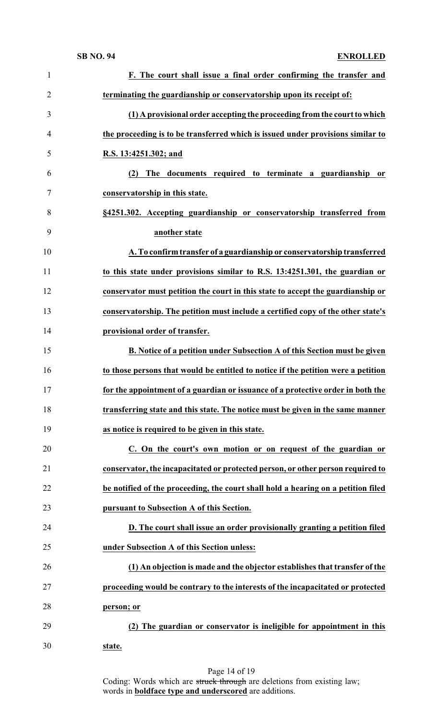| $\mathbf{1}$   | F. The court shall issue a final order confirming the transfer and                |
|----------------|-----------------------------------------------------------------------------------|
| $\overline{2}$ | terminating the guardianship or conservatorship upon its receipt of:              |
| 3              | (1) A provisional order accepting the proceeding from the court to which          |
| 4              | the proceeding is to be transferred which is issued under provisions similar to   |
| 5              | R.S. 13:4251.302; and                                                             |
| 6              | (2) The documents required to terminate a guardianship or                         |
| 7              | conservatorship in this state.                                                    |
| 8              | §4251.302. Accepting guardianship or conservatorship transferred from             |
| 9              | another state                                                                     |
| 10             | A. To confirm transfer of a guardianship or conservatorship transferred           |
| 11             | to this state under provisions similar to R.S. 13:4251.301, the guardian or       |
| 12             | conservator must petition the court in this state to accept the guardianship or   |
| 13             | conservatorship. The petition must include a certified copy of the other state's  |
| 14             | provisional order of transfer.                                                    |
| 15             | B. Notice of a petition under Subsection A of this Section must be given          |
| 16             | to those persons that would be entitled to notice if the petition were a petition |
| 17             | for the appointment of a guardian or issuance of a protective order in both the   |
| 18             | transferring state and this state. The notice must be given in the same manner    |
| 19             | as notice is required to be given in this state.                                  |
| 20             | C. On the court's own motion or on request of the guardian or                     |
| 21             | conservator, the incapacitated or protected person, or other person required to   |
| 22             | be notified of the proceeding, the court shall hold a hearing on a petition filed |
| 23             | pursuant to Subsection A of this Section.                                         |
| 24             | D. The court shall issue an order provisionally granting a petition filed         |
| 25             | under Subsection A of this Section unless:                                        |
| 26             | (1) An objection is made and the objector establishes that transfer of the        |
| 27             | proceeding would be contrary to the interests of the incapacitated or protected   |
|                |                                                                                   |
| 28             | person; or                                                                        |
| 29             | (2) The guardian or conservator is ineligible for appointment in this             |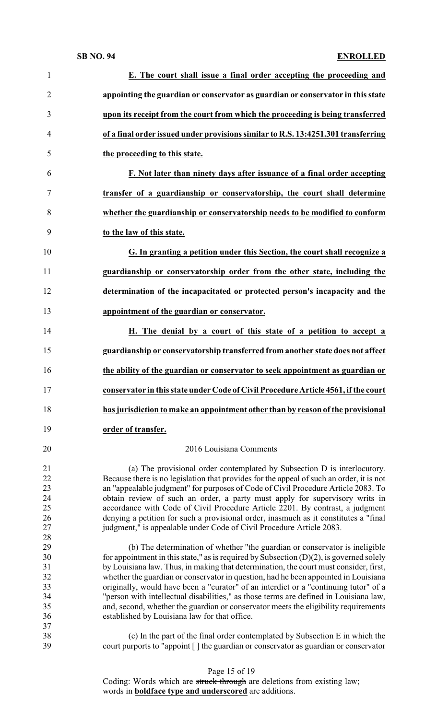| $\mathbf{1}$   | E. The court shall issue a final order accepting the proceeding and                                                                                                           |
|----------------|-------------------------------------------------------------------------------------------------------------------------------------------------------------------------------|
| $\overline{2}$ | appointing the guardian or conservator as guardian or conservator in this state                                                                                               |
| 3              | upon its receipt from the court from which the proceeding is being transferred                                                                                                |
| $\overline{4}$ | of a final order issued under provisions similar to R.S. 13:4251.301 transferring                                                                                             |
| 5              | the proceeding to this state.                                                                                                                                                 |
| 6              | F. Not later than ninety days after issuance of a final order accepting                                                                                                       |
| 7              | transfer of a guardianship or conservatorship, the court shall determine                                                                                                      |
| 8              | whether the guardianship or conservatorship needs to be modified to conform                                                                                                   |
| 9              | to the law of this state.                                                                                                                                                     |
| 10             | G. In granting a petition under this Section, the court shall recognize a                                                                                                     |
| 11             | guardianship or conservatorship order from the other state, including the                                                                                                     |
| 12             | determination of the incapacitated or protected person's incapacity and the                                                                                                   |
| 13             | appointment of the guardian or conservator.                                                                                                                                   |
| 14             | H. The denial by a court of this state of a petition to accept a                                                                                                              |
| 15             | guardianship or conservatorship transferred from another state does not affect                                                                                                |
| 16             | the ability of the guardian or conservator to seek appointment as guardian or                                                                                                 |
| 17             | conservator in this state under Code of Civil Procedure Article 4561, if the court                                                                                            |
| 18             | has jurisdiction to make an appointment other than by reason of the provisional                                                                                               |
| 19             | order of transfer.                                                                                                                                                            |
| 20             | 2016 Louisiana Comments                                                                                                                                                       |
| 21             | (a) The provisional order contemplated by Subsection D is interlocutory.                                                                                                      |
| 22<br>23       | Because there is no legislation that provides for the appeal of such an order, it is not<br>an "appealable judgment" for purposes of Code of Civil Procedure Article 2083. To |
| 24             | obtain review of such an order, a party must apply for supervisory writs in                                                                                                   |
| 25             | accordance with Code of Civil Procedure Article 2201. By contrast, a judgment                                                                                                 |
| 26             | denying a petition for such a provisional order, inasmuch as it constitutes a "final                                                                                          |
| $27\,$         | judgment," is appealable under Code of Civil Procedure Article 2083.                                                                                                          |
| 28             |                                                                                                                                                                               |
| 29             | (b) The determination of whether "the guardian or conservator is ineligible                                                                                                   |
| 30<br>31       | for appointment in this state," as is required by Subsection $(D)(2)$ , is governed solely                                                                                    |
| 32             | by Louisiana law. Thus, in making that determination, the court must consider, first,                                                                                         |
| 33             | whether the guardian or conservator in question, had he been appointed in Louisiana<br>originally, would have been a "curator" of an interdict or a "continuing tutor" of a   |
| 34             | "person with intellectual disabilities," as those terms are defined in Louisiana law,                                                                                         |
| 35             | and, second, whether the guardian or conservator meets the eligibility requirements                                                                                           |
| 36             | established by Louisiana law for that office.                                                                                                                                 |
| 37             |                                                                                                                                                                               |
| 38<br>39       | (c) In the part of the final order contemplated by Subsection E in which the<br>court purports to "appoint [] the guardian or conservator as guardian or conservator          |
|                |                                                                                                                                                                               |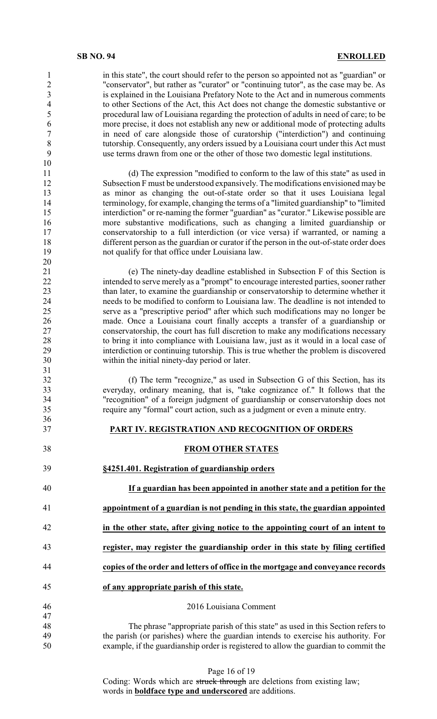in this state", the court should refer to the person so appointed not as "guardian" or "conservator", but rather as "curator" or "continuing tutor", as the case may be. As is explained in the Louisiana Prefatory Note to the Act and in numerous comments to other Sections of the Act, this Act does not change the domestic substantive or procedural law of Louisiana regarding the protection of adults in need of care; to be more precise, it does not establish any new or additional mode of protecting adults in need of care alongside those of curatorship ("interdiction") and continuing tutorship. Consequently, any orders issued by a Louisiana court under this Act must use terms drawn from one or the other of those two domestic legal institutions.

11 (d) The expression "modified to conform to the law of this state" as used in<br>12 Subsection F must be understood expansively. The modifications envisioned may be Subsection F must be understood expansively. The modifications envisioned may be 13 as minor as changing the out-of-state order so that it uses Louisiana legal<br>14 terminology for example changing the terms of a "limited guardianship" to "limited terminology, for example, changing the terms of a "limited guardianship" to "limited interdiction" or re-naming the former "guardian" as "curator." Likewise possible are more substantive modifications, such as changing a limited guardianship or conservatorship to a full interdiction (or vice versa) if warranted, or naming a different person as the guardian or curator if the person in the out-of-state order does not qualify for that office under Louisiana law.

21 (e) The ninety-day deadline established in Subsection F of this Section is intended to serve merely as a "prompt" to encourage interested parties, sooner rather 22 intended to serve merely as a "prompt" to encourage interested parties, sooner rather<br>23 than later, to examine the guardianship or conservatorship to determine whether it 23 than later, to examine the guardianship or conservatorship to determine whether it<br>24 eeeds to be modified to conform to Louisiana law. The deadline is not intended to 24 needs to be modified to conform to Louisiana law. The deadline is not intended to serve as a "prescriptive period" after which such modifications may no longer be 25 serve as a "prescriptive period" after which such modifications may no longer be<br>26 made. Once a Louisiana court finally accepts a transfer of a guardianship or 26 made. Once a Louisiana court finally accepts a transfer of a guardianship or conservatorship, the court has full discretion to make any modifications necessary conservatorship, the court has full discretion to make any modifications necessary to bring it into compliance with Louisiana law, just as it would in a local case of interdiction or continuing tutorship. This is true whether the problem is discovered within the initial ninety-day period or later.

 (f) The term "recognize," as used in Subsection G of this Section, has its everyday, ordinary meaning, that is, "take cognizance of." It follows that the "recognition" of a foreign judgment of guardianship or conservatorship does not require any "formal" court action, such as a judgment or even a minute entry.

## **PART IV. REGISTRATION AND RECOGNITION OF ORDERS**

## **FROM OTHER STATES**

- **§4251.401. Registration of guardianship orders If a guardian has been appointed in another state and a petition for the**
- **appointment of a guardian is not pending in this state, the guardian appointed**
- **in the other state, after giving notice to the appointing court of an intent to**
- **register, may register the guardianship order in this state by filing certified**
- **copies of the order and letters of office in the mortgage and conveyance records**
- **of any appropriate parish of this state.**

## 2016 Louisiana Comment

 The phrase "appropriate parish of this state" as used in this Section refers to the parish (or parishes) where the guardian intends to exercise his authority. For example, if the guardianship order is registered to allow the guardian to commit the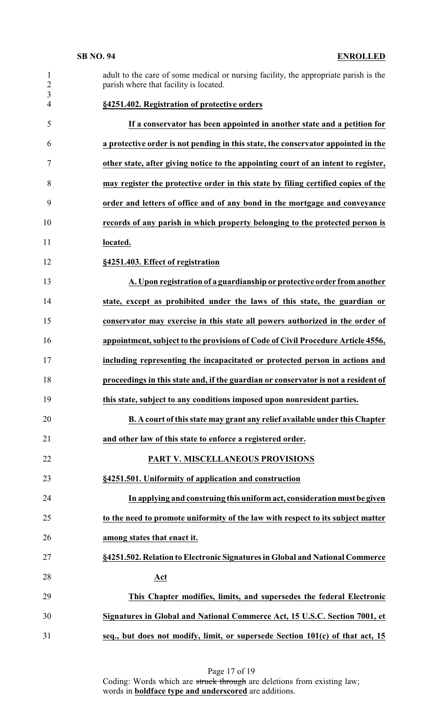| $\mathbf{1}$<br>$\overline{2}$ | adult to the care of some medical or nursing facility, the appropriate parish is the<br>parish where that facility is located. |
|--------------------------------|--------------------------------------------------------------------------------------------------------------------------------|
| $\mathfrak{Z}$<br>4            | §4251.402. Registration of protective orders                                                                                   |
| 5                              | If a conservator has been appointed in another state and a petition for                                                        |
| 6                              | a protective order is not pending in this state, the conservator appointed in the                                              |
| 7                              | other state, after giving notice to the appointing court of an intent to register,                                             |
| 8                              | may register the protective order in this state by filing certified copies of the                                              |
| 9                              | order and letters of office and of any bond in the mortgage and conveyance                                                     |
| 10                             | records of any parish in which property belonging to the protected person is                                                   |
| 11                             | located.                                                                                                                       |
| 12                             | §4251.403. Effect of registration                                                                                              |
| 13                             | A. Upon registration of a guardianship or protective order from another                                                        |
| 14                             | state, except as prohibited under the laws of this state, the guardian or                                                      |
| 15                             | conservator may exercise in this state all powers authorized in the order of                                                   |
| 16                             | appointment, subject to the provisions of Code of Civil Procedure Article 4556,                                                |
| 17                             | including representing the incapacitated or protected person in actions and                                                    |
| 18                             | proceedings in this state and, if the guardian or conservator is not a resident of                                             |
| 19                             | this state, subject to any conditions imposed upon nonresident parties.                                                        |
| 20                             | <b>B.</b> A court of this state may grant any relief available under this Chapter                                              |
| 21                             | and other law of this state to enforce a registered order.                                                                     |
| 22                             | PART V. MISCELLANEOUS PROVISIONS                                                                                               |
| 23                             | §4251.501. Uniformity of application and construction                                                                          |
| 24                             | In applying and construing this uniform act, consideration must be given                                                       |
| 25                             | to the need to promote uniformity of the law with respect to its subject matter                                                |
| 26                             | among states that enact it.                                                                                                    |
| 27                             | §4251.502. Relation to Electronic Signatures in Global and National Commerce                                                   |
| 28                             | Act                                                                                                                            |
| 29                             | This Chapter modifies, limits, and supersedes the federal Electronic                                                           |
| 30                             | Signatures in Global and National Commerce Act, 15 U.S.C. Section 7001, et                                                     |
| 31                             | seq., but does not modify, limit, or supersede Section 101(c) of that act, 15                                                  |

Page 17 of 19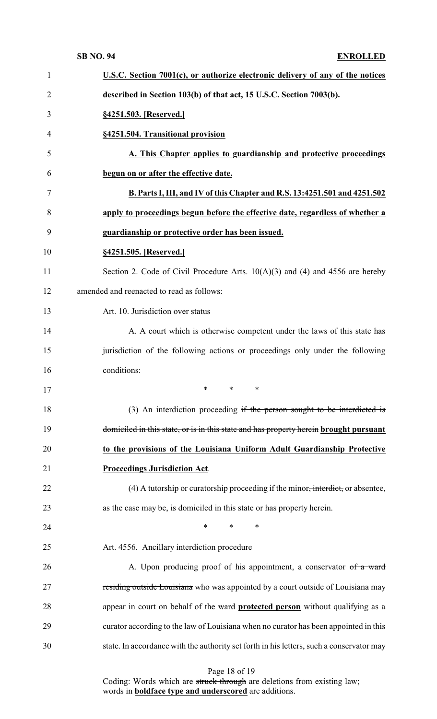| $\mathbf{1}$   | U.S.C. Section 7001(c), or authorize electronic delivery of any of the notices              |
|----------------|---------------------------------------------------------------------------------------------|
| $\overline{2}$ | described in Section 103(b) of that act, 15 U.S.C. Section 7003(b).                         |
| 3              | §4251.503. [Reserved.]                                                                      |
| 4              | §4251.504. Transitional provision                                                           |
| 5              | A. This Chapter applies to guardianship and protective proceedings                          |
| 6              | begun on or after the effective date.                                                       |
| 7              | B. Parts I, III, and IV of this Chapter and R.S. 13:4251.501 and 4251.502                   |
| 8              | apply to proceedings begun before the effective date, regardless of whether a               |
| 9              | guardianship or protective order has been issued.                                           |
| 10             | §4251.505. [Reserved.]                                                                      |
| 11             | Section 2. Code of Civil Procedure Arts. $10(A)(3)$ and (4) and 4556 are hereby             |
| 12             | amended and reenacted to read as follows:                                                   |
| 13             | Art. 10. Jurisdiction over status                                                           |
| 14             | A. A court which is otherwise competent under the laws of this state has                    |
| 15             | jurisdiction of the following actions or proceedings only under the following               |
| 16             | conditions:                                                                                 |
| 17             | $\stackrel{\star}{\ast}$ $\stackrel{\star}{\ast}$ $\stackrel{\star}{\ast}$                  |
| 18             | (3) An interdiction proceeding if the person sought to be interdicted is                    |
|                |                                                                                             |
| 19             | domiciled in this state, or is in this state and has property herein brought pursuant       |
| 20             | to the provisions of the Louisiana Uniform Adult Guardianship Protective                    |
| 21             | <b>Proceedings Jurisdiction Act.</b>                                                        |
| 22             | (4) A tutorship or curatorship proceeding if the minor <del>, interdict,</del> or absentee, |
| 23             | as the case may be, is domiciled in this state or has property herein.                      |
| 24             | $\ast$<br>$\ast$<br>$\ast$                                                                  |
| 25             | Art. 4556. Ancillary interdiction procedure                                                 |
| 26             | A. Upon producing proof of his appointment, a conservator of a ward                         |
| 27             | residing outside Louisiana who was appointed by a court outside of Louisiana may            |
| 28             | appear in court on behalf of the ward protected person without qualifying as a              |
| 29             | curator according to the law of Louisiana when no curator has been appointed in this        |
| 30             | state. In accordance with the authority set forth in his letters, such a conservator may    |

Page 18 of 19